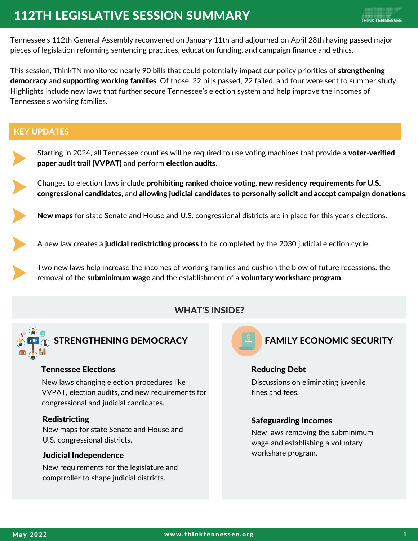# 112TH LEGISLATIVE SESSION SUMMARY

Tennessee's 112th General Assembly reconvened on January 11th and adjourned on April 28th having passed major pieces of legislation reforming sentencing practices, education funding, and campaign finance and ethics.

This session, ThinkTN monitored nearly 90 bills that could potentially impact our policy priorities of strengthening democracy and supporting working families. Of those, 22 bills passed, 22 failed, and four were sent to summer study. Highlights include new laws that further secure Tennessee's election system and help improve the incomes of Tennessee's working families.

## KEY UPDATES



Starting in 2024, all Tennessee counties will be required to use voting machines that provide a **voter-verified** paper audit trail (VVPAT) and perform election audits.

Changes to election laws include prohibiting ranked choice voting, new residency requirements for U.S. congressional candidates, and allowing judicial candidates to personally solicit and accept campaign donations.

New maps for state Senate and House and U.S. congressional districts are in place for this year's elections.

A new law creates a **judicial redistricting process** to be completed by the 2030 judicial election cycle.

Two new laws help increase the incomes of working families and cushion the blow of future recessions: the removal of the subminimum wage and the establishment of a voluntary workshare program.

## WHAT'S INSIDE?



STRENGTHENING DEMOCRACY

### Tennessee Elections

New laws changing election procedures like VVPAT, election audits, and new requirements for congressional and judicial candidates.

### Redistricting

New maps for state Senate and House and U.S. congressional districts.

#### Judicial Independence

New requirements for the legislature and comptroller to shape judicial districts.



## FAMILY ECONOMIC SECURITY

### Reducing Debt

Discussions on eliminating juvenile fines and fees.

### Safeguarding Incomes

New laws removing the subminimum wage and establishing a voluntary workshare program.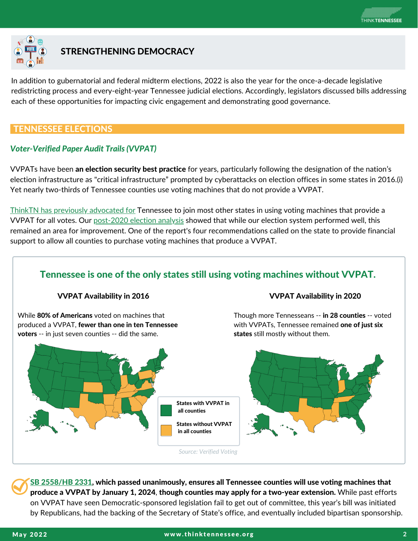

## STRENGTHENING DEMOCRACY

In addition to gubernatorial and federal midterm elections, 2022 is also the year for the once-a-decade legislative redistricting process and every-eight-year Tennessee judicial elections. Accordingly, legislators discussed bills addressing each of these opportunities for impacting civic engagement and demonstrating good governance.

## TENNESSEE ELECTIONS

## *Voter-Verified Paper Audit Trails (VVPAT)*

VVPATs have been an election security best practice for years, particularly following the designation of the nation's election infrastructure as "critical [infrastructure"](https://sgp.fas.org/crs/misc/IF10677.pdf) prompted by cyberattacks on election offices in some states in 2016.(i) Yet nearly two-thirds of Tennessee counties use voting machines that do not provide a VVPAT.

ThinkTN has previously [advocated](https://www.thinktennessee.org/wp-content/uploads/2020/11/state-of-our-state-policy-brief_-elections-and-civic-life-final.pdf) for Tennessee to join most other states in using voting machines that provide a VVPAT for all votes. Our [post-2020](https://www.thinktennessee.org/wp-content/uploads/2021/05/thinktn-november-2020-after-action-report.pdf) election analysis showed that while our election system performed well, this remained an area for improvement. One of the report's four recommendations called on the state to provide financial support to allow all counties to purchase voting machines that produce a VVPAT.

## Tennessee is one of the only states still using voting machines without VVPAT.

#### VVPAT Availability in 2016

While [80%](https://www.thinktennessee.org/wp-content/uploads/2020/11/state-of-our-state-policy-brief_-elections-and-civic-life-final.pdf) of Americans voted on machines that produced a VVPAT, fewer than one in ten Tennessee voters -- in just seven counties -- did the same.

#### VVPAT Availability in 2020

Though more Tennesseans -- in 28 counties -- voted with VVPATs, Tennessee remained one of just [six](https://verifiedvoting.org/verifier/#mode/navigate/map/ppEquip/mapType/normal/year/2020) states still mostly without them.



SB [2558/HB](https://wapp.capitol.tn.gov/apps/BillInfo/Default.aspx?BillNumber=SB2558) 2331, which passed unanimously, ensures all Tennessee counties will use voting machines that produce a VVPAT by January 1, 2024, though counties may apply for a two-year extension. While past efforts on VVPAT have seen Democratic-sponsored legislation fail to get out of committee, this year's bill was initiated by Republicans, had the backing of the Secretary of State's office, and eventually included bipartisan sponsorship.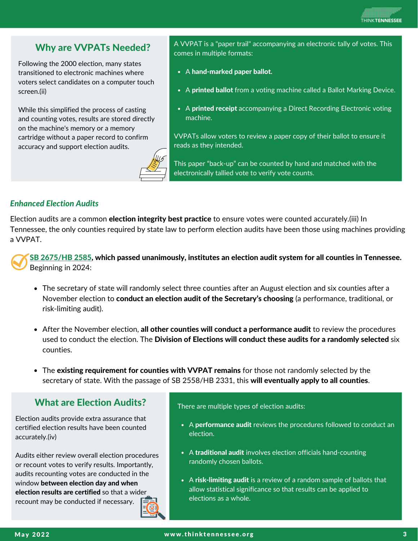## Why are VVPATs Needed?

Following the 2000 election, many states transitioned to electronic machines where voters select candidates on a computer touch screen.(ii)

While this simplified the process of casting and counting votes, results are stored directly on the machine's memory or a memory cartridge without a paper record to confirm accuracy and support election audits.



A VVPAT is a "paper trail" accompanying an electronic tally of votes. This comes in multiple formats:

- A hand-marked paper ballot.
- A printed ballot from a voting machine called a Ballot Marking Device.
- A printed receipt accompanying a Direct Recording Electronic voting machine.

VVPATs allow voters to review a paper copy of their ballot to ensure it reads as they intended.

This paper "back-up" can be counted by hand and matched with the electronically tallied vote to verify vote counts.

## *Enhanced Election Audits*

Election audits are a common election [integrity](https://bipartisanpolicy.org/report/bipartisan-principles-for-election-audits/) best practice to ensure votes were counted accurately.(iii) In Tennessee, the only counties required by state law to perform election audits have been those using machines providing a VVPAT.

SB [2675/HB](https://wapp.capitol.tn.gov/apps/BillInfo/Default.aspx?BillNumber=SB2675) 2585, which passed unanimously, institutes an election audit system for all counties in Tennessee. Beginning in 2024:

- The [secretary](https://wapp.capitol.tn.gov/apps/BillInfo/Default.aspx?BillNumber=HB2585) of state will [r](https://wapp.capitol.tn.gov/apps/BillInfo/Default.aspx?BillNumber=HB2585)andomly select three counties after an August election and six counties after a November election to conduct an election audit of the [Secretary's](https://wapp.capitol.tn.gov/apps/BillInfo/Default.aspx?BillNumber=HB2585) choosing (a [performance,](https://wapp.capitol.tn.gov/apps/BillInfo/Default.aspx?BillNumber=HB2585) traditional, or risk-limiting audit).
- After the [November](https://wapp.capitol.tn.gov/apps/BillInfo/Default.aspx?BillNumber=HB2585) election, all other counties will conduct a [performance](https://wapp.capitol.tn.gov/apps/BillInfo/Default.aspx?BillNumber=HB2585) audit to review the procedures used to conduct the election. The Division of Elections will conduct these audits for a [randomly](https://wapp.capitol.tn.gov/apps/BillInfo/Default.aspx?BillNumber=HB2585) selected six counties.
- [The](https://wapp.capitol.tn.gov/apps/BillInfo/Default.aspx?BillNumber=HB2585) existing [requirement](https://wapp.capitol.tn.gov/apps/BillInfo/Default.aspx?BillNumber=HB2585) for counties with VVPAT remains for those not randomly selected by the secretary of state. With the passage of SB 2558/HB 2331, this will [eventually](https://wapp.capitol.tn.gov/apps/BillInfo/Default.aspx?BillNumber=HB2585) apply to all counties[.](https://wapp.capitol.tn.gov/apps/BillInfo/Default.aspx?BillNumber=HB2585)

## What are Election Audits?

Election audits provide extra assurance that certified election results have been counted accurately.(iv)

Audits either review overall election procedures or recount votes to verify results. Importantly, audits recounting votes are conducted in the window between election day and when election results are certified so that a wider recount may be conducted if necessary.

There are multiple types of election audits:

- A performance audit reviews the procedures followed to conduct an election.
- A traditional audit involves election officials hand-counting randomly chosen ballots.
- A risk-limiting audit is a review of a random sample of ballots that allow statistical significance so that results can be applied to elections as a whole.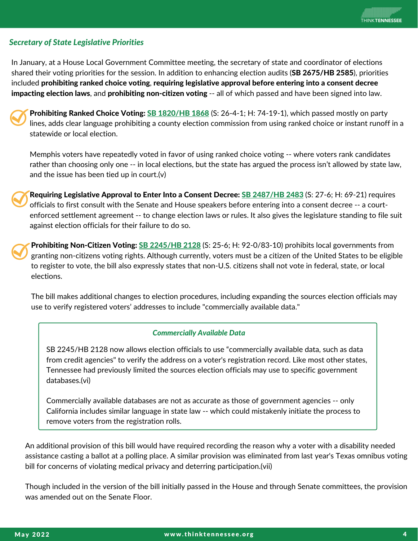#### *Secretary of State Legislative Priorities*

In January, at a House Local Government Committee meeting, the secretary of state and coordinator of elections shared their voting priorities for the session. In addition to enhancing election audits (SB 2675/HB 2585), priorities included prohibiting ranked choice voting, requiring legislative approval before entering into a consent decree impacting election laws, and prohibiting non-citizen voting -- all of which passed and have been signed into law.



Prohibiting Ranked Choice Voting: SB [1820/HB](https://wapp.capitol.tn.gov/apps/BillInfo/Default.aspx?BillNumber=SB1820) 1868 (S: 26-4-1; H: 74-19-1), which passed mostly on party lines, adds clear language prohibiting a county election commission from using ranked choice or instant runoff in a statewide or local election.

Memphis voters have repeatedly voted in favor of using ranked choice voting -- where voters rank candidates rather than choosing only one -- in local elections, but the state has argued the process isn't allowed by state law, and the issue has been tied up in court.(v)

Requiring Legislative Approval to Enter Into a Consent Decree: SB [2487/HB](https://wapp.capitol.tn.gov/apps/BillInfo/Default.aspx?BillNumber=SB2487) 2483 (S: 27-6; H: 69-21) requires officials to first consult with the Senate and House speakers before entering into a consent decree -- a courtenforced settlement agreement -- to change election laws or rules. It also gives the legislature standing to file suit against election officials for their failure to do so.

Prohibiting Non-Citizen Voting: **SB [2245/HB](https://wapp.capitol.tn.gov/apps/BillInfo/Default.aspx?BillNumber=SB2245) 2128** (S: 25-6; H: 92-0/83-10) prohibits local governments from granting non-citizens voting rights. Although currently, voters must be a citizen of the United States to be eligible to register to vote, the bill also expressly states that non-U.S. citizens shall not vote in federal, state, or local elections.

The bill makes additional changes to election procedures, including expanding the sources election officials may use to verify registered voters' addresses to include "commercially available data."

#### *Commercially Available Data*

SB 2245/HB 2128 now allows election officials to use "commercially available data, such as data from credit agencies" to verify the address on a voter's registration record. Like most other states, Tennessee had previously limited the sources election officials may use to specific government databases.(vi)

Commercially available databases are not as accurate as those of government agencies -- only California includes similar language in state law -- which could mistakenly initiate the process to remove voters from the registration rolls.

An additional provision of this bill would have required recording the reason why a voter with a disability needed assistance casting a ballot at a polling place. A similar provision was eliminated from last year's Texas omnibus voting bill for concerns of violating medical privacy and deterring participation.(vii)

Though included in the version of the bill initially passed in the House and through Senate committees, the provision was amended out on the Senate Floor.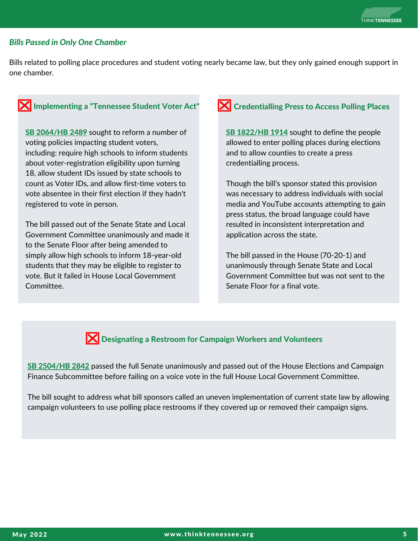#### *Bills Passed in Only One Chamber*

Bills related to polling place procedures and student voting nearly became law, but they only gained enough support in one chamber.

## **X** Implementing a "Tennessee Student Voter Act"

SB [2064/HB](http://wapp.capitol.tn.gov/apps/BillInfo/Default.aspx?BillNumber=SB2064) 2489 sought to reform a number of voting policies impacting student voters, including: require high schools to inform students about voter-registration eligibility upon turning 18, allow student IDs issued by state schools to count as Voter IDs, and allow first-time voters to vote absentee in their first election if they hadn't registered to vote in person.

The bill passed out of the Senate State and Local Government Committee unanimously and made it to the Senate Floor after being amended to simply allow high schools to inform 18-year-old students that they may be eligible to register to vote. But it failed in House Local Government Committee.

## $\mathbf{\Sigma}$  Credentialling Press to Access Polling Places

SB [1822/HB](https://wapp.capitol.tn.gov/apps/BillInfo/Default.aspx?BillNumber=SB1822) 1914 sought to define the people allowed to enter polling places during elections and to allow counties to create a press credentialling process.

Though the bill's sponsor stated this provision was necessary to address individuals with social media and YouTube accounts attempting to gain press status, the broad language could have resulted in inconsistent interpretation and application across the state.

The bill passed in the House (70-20-1) and unanimously through Senate State and Local Government Committee but was not sent to the Senate Floor for a final vote.



**X** Designating a Restroom for Campaign Workers and Volunteers

SB [2504/HB](https://wapp.capitol.tn.gov/apps/BillInfo/Default.aspx?BillNumber=SB2504) 2842 passed the full Senate unanimously and passed out of the House Elections and Campaign Finance Subcommittee before failing on a voice vote in the full House Local Government Committee.

The bill sought to address what bill sponsors called an uneven implementation of current state law by allowing campaign volunteers to use polling place restrooms if they covered up or removed their campaign signs.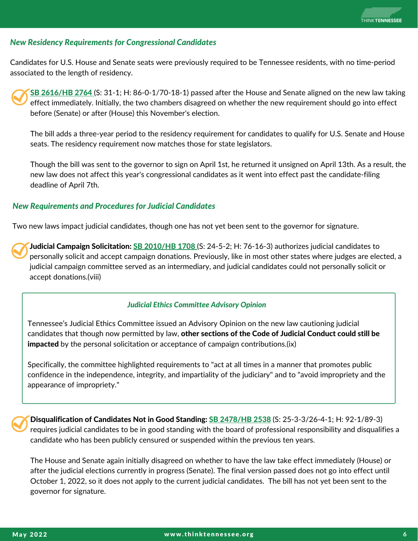### *New Residency Requirements for Congressional Candidates*

Candidates for U.S. House and Senate seats were previously required to be Tennessee residents, with no time-period associated to the length of residency.

SB [2616/HB](https://wapp.capitol.tn.gov/apps/BillInfo/Default.aspx?BillNumber=SB2616) 2764 (S: 31-1; H: 86-0-1/70-18-1) passed after the House and Senate aligned on the new law taking effect immediately. Initially, the two chambers disagreed on whether the new requirement should go into effect before (Senate) or after (House) this November's election.

The bill adds a three-year period to the residency requirement for candidates to qualify for U.S. Senate and House seats. The residency requirement now matches those for state legislators.

Though the bill was sent to the governor to sign on April 1st, he returned it unsigned on April 13th. As a result, the new law does not affect this year's congressional candidates as it went into effect past the candidate-filing deadline of April 7th.

### *New Requirements and Procedures for Judicial Candidates*

Two new laws impact judicial candidates, though one has not yet been sent to the governor for signature.

Judicial Campaign Solicitation: SB [2010/HB](https://wapp.capitol.tn.gov/apps/BillInfo/Default.aspx?BillNumber=SB2010) 1708 [\(](https://wapp.capitol.tn.gov/apps/BillInfo/Default.aspx?BillNumber=SB2010)S: 24-5-2; H: 76-16-3) authorizes judicial candidates to personally solicit and accept campaign donations. Previously, like in most other states where judges are elected, a judicial campaign committee served as an intermediary, and judicial candidates could not personally solicit or accept donations.(viii)

#### *Judicial Ethics Committee Advisory Opinion*

Tennessee's Judicial Ethics Committee issued an [Advisory](https://www.tncourts.gov/sites/default/files/docs/advisory_opinion_22-01.pdf) Opinion on the new law cautioning judicial candidates that though now permitted by law, other sections of the Code of Judicial Conduct could still be impacted by the personal solicitation or acceptance of campaign contributions.(ix)

Specifically, the committee highlighted requirements to "act at all times in a manner that promotes public confidence in the independence, integrity, and impartiality of the judiciary" and to "avoid impropriety and the appearance of impropriety."

Disqualification of Candidates Not in Good Standing: **SB [2478/HB](https://wapp.capitol.tn.gov/apps/BillInfo/Default.aspx?BillNumber=SB2478) 2538** (S: 25-3-3/26-4-1; H: 92-1/89-3) requires judicial candidates to be in good standing with the board of professional responsibility and disqualifies a candidate who has been publicly censured or suspended within the previous ten years.

The House and Senate again initially disagreed on whether to have the law take effect immediately (House) or after the judicial elections currently in progress (Senate). The final version passed does not go into effect until October 1, 2022, so it does not apply to the current judicial candidates. The bill has not yet been sent to the governor for signature.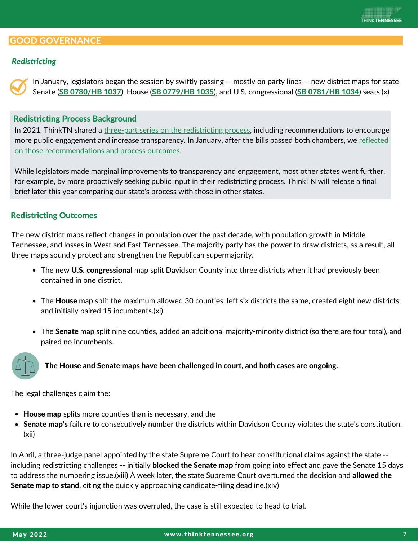## GOOD GOVERNANCE

### *Redistricting*

In January, legislators began the session by swiftly passing -- mostly on party lines -- new district maps for state Senate (SB [0780/HB](https://wapp.capitol.tn.gov/apps/BillInfo/Default.aspx?BillNumber=SB0780) 1037), House (SB [0779/HB](https://wapp.capitol.tn.gov/apps/BillInfo/Default.aspx?BillNumber=SB0779) 1035), and U.S. congressional (SB [0781/HB](https://wapp.capitol.tn.gov/apps/BillInfo/Default.aspx?BillNumber=SB0781) 1034) seats.(x)

#### Redistricting Process Background

In 2021, ThinkTN shared a three-part series on the [redistricting](https://www.thinktennessee.org/wp-content/uploads/2021/05/thinktn-2021-redistricting-brief-full-1.pdf) process, including recommendations to encourage more public engagement and increase transparency. In January, after the bills passed both chambers, we reflected on those [recommendations](https://www.thinktennessee.org/legislative_updates/2022-redistricting-update/) and process outcomes.

While legislators made marginal improvements to transparency and engagement, most other states went further, for example, by more proactively seeking public input in their redistricting process. ThinkTN will release a final brief later this year comparing our state's process with those in other states.

#### Redistricting Outcomes

The new district maps reflect changes in population over the past decade, with population growth in Middle Tennessee, and losses in West and East Tennessee. The majority party has the power to draw districts, as a result, all three maps soundly protect and strengthen the Republican supermajority.

- The new U.S. congressional map split Davidson County into three districts when it had previously been contained in one district.
- The **House** map split the maximum allowed 30 counties, left six districts the same, created eight new districts, and initially paired 15 incumbents.(xi)
- The Senate map split nine counties, added an additional majority-minority district (so there are four total), and paired no incumbents.



The House and Senate maps have been challenged in court, and both cases are ongoing.

The legal challenges claim the:

- House map splits more counties than is necessary, and the
- Senate map's failure to consecutively number the districts within Davidson County violates the state's constitution. (xii)

In April, a three-judge panel appointed by the state Supreme Court to hear constitutional claims against the state - including redistricting challenges -- initially **blocked the Senate map** from going into effect and gave the Senate 15 days to address the numbering issue.(xiii) A week later, the state Supreme Court overturned the decision and allowed the Senate map to stand, citing the quickly approaching candidate-filing deadline.(xiv)

While the lower court's injunction was overruled, the case is still expected to head to trial.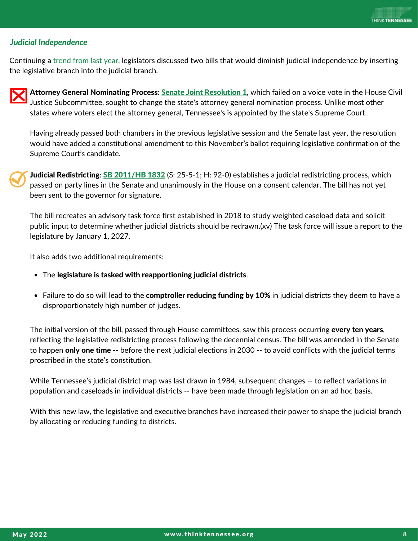## *Judicial Independence*

Continuing a [trend](https://www.thinktennessee.org/wp-content/uploads/2022/03/protecting-an-independent-judiciary.pdf) from last year, legislators discussed two bills that would diminish judicial independence by inserting the legislative branch into the judicial branch.

Attorney General [Nominating](https://wapp.capitol.tn.gov/apps/BillInfo/Default.aspx?BillNumber=SJR0001) Process: Senate Joint [Resolution](https://wapp.capitol.tn.gov/apps/BillInfo/Default.aspx?BillNumber=SJR0001) 1, which failed on a voice vote in the House Civil Justice Subcommittee, sought to change the state's attorney general nomination process. Unlike most other states where voters elect the attorney general, Tennessee's is appointed by the state's Supreme Court.

Having already passed both chambers in the previous legislative session and the Senate last year, the resolution would have added a constitutional amendment to this November's ballot requiring legislative confirmation of the Supreme Court's candidate.



Judicial Redistricting: SB [2011/HB](https://wapp.capitol.tn.gov/apps/BillInfo/Default.aspx?BillNumber=SB2011) 1832 (S: 25-5-1; H: 92-0) establishes a judicial redistricting process, which passed on party lines in the Senate and unanimously in the House on a consent calendar. The bill has not yet been sent to the governor for signature.

The bill recreates an advisory task force first [established](https://www.tncourts.gov/Advisory%20Task%20Force%20on%20Composition%20of%20Judicial%20Districts) in 2018 to study weighted caseload data and solicit public input to determine whether judicial districts should be redrawn.(xv) The task force will issue a report to the legislature by January 1, 2027.

It also adds two additional requirements:

- The legislature is tasked with reapportioning judicial districts.
- Failure to do so will lead to the **comptroller reducing funding by 10%** in judicial districts they deem to have a disproportionately high number of judges.

The initial version of the bill, passed through House committees, saw this process occurring **every ten years**, reflecting the legislative redistricting process following the decennial census. The bill was amended in the Senate to happen only one time -- before the next judicial elections in 2030 -- to avoid conflicts with the judicial terms proscribed in the state's constitution.

While Tennessee's judicial district map was last drawn in 1984, subsequent changes -- to reflect variations in population and caseloads in individual districts -- have been made through legislation on an ad hoc basis.

With this new law, the legislative and executive branches have increased their power to shape the judicial branch by allocating or reducing funding to districts.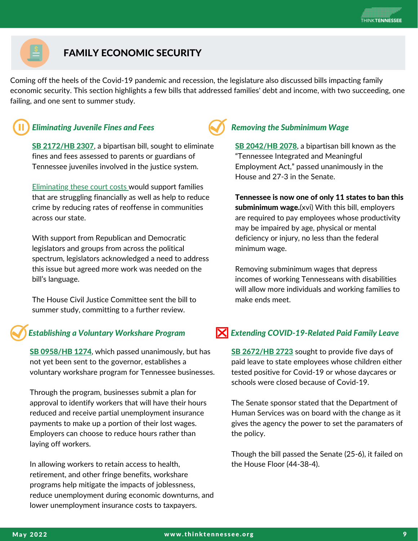

## FAMILY ECONOMIC SECURITY

Coming off the heels of the Covid-19 pandemic and recession, the legislature also discussed bills impacting family economic security. This section highlights a few bills that addressed families' debt and income, with two succeeding, one failing, and one sent to summer study.



## *Eliminating Juvenile Fines and Fees Removing the Subminimum Wage*

SB [2172/HB](https://wapp.capitol.tn.gov/apps/BillInfo/Default.aspx?BillNumber=SB2172) 2307, a bipartisan bill, sought to eliminate fines and fees assessed to parents or guardians of Tennessee juveniles involved in the justice system.

[Eliminating](https://www.thinktennessee.org/wp-content/uploads/2022/04/eliminating-juvenile-fines-fees-in-tennessee.pdf) these court costs would support families that are struggling financially as well as help to reduce crime by reducing rates of reoffense in communities across our state.

With support from Republican and Democratic legislators and groups from across the political spectrum, legislators acknowledged a need to address this issue but agreed more work was needed on the bill's language.

The House Civil Justice Committee sent the bill to summer study, committing to a further review.

## *Establishing a Voluntary Workshare Program*

SB [0958/HB](https://wapp.capitol.tn.gov/apps/BillInfo/Default.aspx?BillNumber=SB0958) 1274, which passed unanimously, but has not yet been sent to the governor, establishes a voluntary workshare program for Tennessee businesses.

Through the program, businesses submit a plan for approval to identify workers that will have their hours reduced and receive partial unemployment insurance payments to make up a portion of their lost wages. Employers can choose to reduce hours rather than laying off workers.

In allowing workers to retain access to health, retirement, and other fringe benefits, workshare programs help mitigate the impacts of joblessness, reduce unemployment during economic downturns, and lower unemployment insurance costs to taxpayers.

SB [2042/HB](https://wapp.capitol.tn.gov/apps/BillInfo/Default.aspx?BillNumber=SB2042) 2078, a bipartisan bill known as the "Tennessee Integrated and Meaningful Employment Act," passed unanimously in the House and 27-3 in the Senate.

Tennessee is now one of only 11 states to ban this subminimum wage.(xvi) With this bill, employers are required to pay employees whose productivity may be impaired by age, physical or mental deficiency or injury, no less than the federal minimum wage.

Removing subminimum wages that depress incomes of working Tennesseans with disabilities will allow more individuals and working families to make ends meet.

## *Extending COVID-19-Related Paid Family Leave*

SB [2672/HB](https://wapp.capitol.tn.gov/apps/BillInfo/Default.aspx?BillNumber=SB2672) 2723 sought to provide five days of paid leave to state employees whose children either tested positive for Covid-19 or whose daycares or schools were closed because of Covid-19.

The Senate sponsor stated that the Department of Human Services was on board with the change as it gives the agency the power to set the paramaters of the policy.

Though the bill passed the Senate (25-6), it failed on the House Floor (44-38-4).